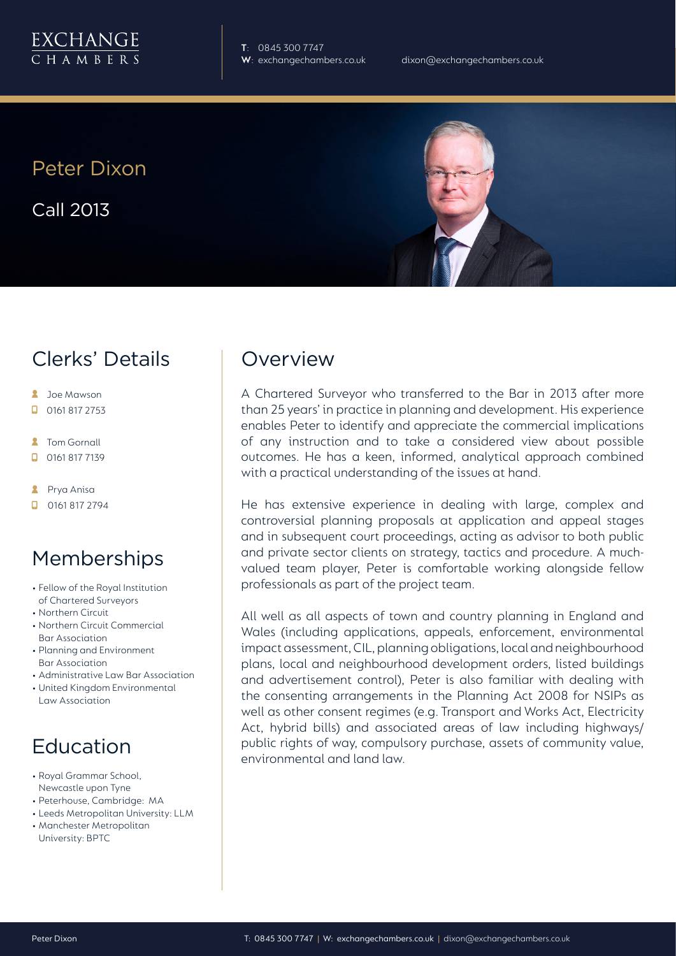

**T**: 0845 300 7747

Peter Dixon

Call 2013

#### Clerks' Details

- **2** Joe Mawson
- $\Box$  0161 817 2753
- **A** Tom Gornall
- 0161 817 7139
- **2** Prya Anisa
- $\Box$  0161 817 2794

## Memberships

- Fellow of the Royal Institution of Chartered Surveyors
- Northern Circuit
- Northern Circuit Commercial Bar Association
- Planning and Environment Bar Association
- Administrative Law Bar Association
- United Kingdom Environmental Law Association

## Education

- Royal Grammar School, Newcastle upon Tyne
- Peterhouse, Cambridge: MA
- Leeds Metropolitan University: LLM
- Manchester Metropolitan University: BPTC

#### **Overview**

A Chartered Surveyor who transferred to the Bar in 2013 after more than 25 years' in practice in planning and development. His experience enables Peter to identify and appreciate the commercial implications of any instruction and to take a considered view about possible outcomes. He has a keen, informed, analytical approach combined with a practical understanding of the issues at hand.

He has extensive experience in dealing with large, complex and controversial planning proposals at application and appeal stages and in subsequent court proceedings, acting as advisor to both public and private sector clients on strategy, tactics and procedure. A muchvalued team player, Peter is comfortable working alongside fellow professionals as part of the project team.

All well as all aspects of town and country planning in England and Wales (including applications, appeals, enforcement, environmental impact assessment, CIL, planning obligations, local and neighbourhood plans, local and neighbourhood development orders, listed buildings and advertisement control), Peter is also familiar with dealing with the consenting arrangements in the Planning Act 2008 for NSIPs as well as other consent regimes (e.g. Transport and Works Act, Electricity Act, hybrid bills) and associated areas of law including highways/ public rights of way, compulsory purchase, assets of community value, environmental and land law.